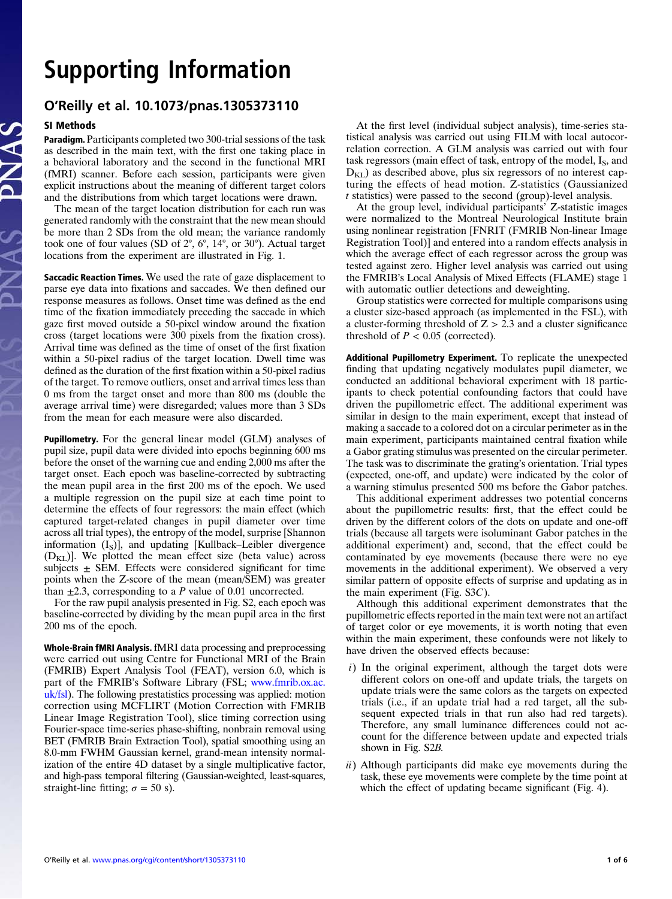## $\sum$  Support in  $\sum$  1.1

## O'Reilly et al. 10.1073/pnas.1305373110

## SI Methods

Paradigm. Participants completed two 300-trial sessions of the task as described in the main text, with the first one taking place in a behavioral laboratory and the second in the functional MRI (fMRI) scanner. Before each session, participants were given explicit instructions about the meaning of different target colors and the distributions from which target locations were drawn.

The mean of the target location distribution for each run was generated randomly with the constraint that the new mean should be more than 2 SDs from the old mean; the variance randomly took one of four values (SD of 2°, 6°, 14°, or 30°). Actual target locations from the experiment are illustrated in Fig. 1.

**Saccadic Reaction Times.** We used the rate of gaze displacement to parse eye data into fixations and saccades. We then defined our response measures as follows. Onset time was defined as the end time of the fixation immediately preceding the saccade in which gaze first moved outside a 50-pixel window around the fixation cross (target locations were 300 pixels from the fixation cross). Arrival time was defined as the time of onset of the first fixation within a 50-pixel radius of the target location. Dwell time was defined as the duration of the first fixation within a 50-pixel radius of the target. To remove outliers, onset and arrival times less than 0 ms from the target onset and more than 800 ms (double the average arrival time) were disregarded; values more than 3 SDs from the mean for each measure were also discarded.

Pupillometry. For the general linear model (GLM) analyses of pupil size, pupil data were divided into epochs beginning 600 ms before the onset of the warning cue and ending 2,000 ms after the target onset. Each epoch was baseline-corrected by subtracting the mean pupil area in the first 200 ms of the epoch. We used a multiple regression on the pupil size at each time point to determine the effects of four regressors: the main effect (which captured target-related changes in pupil diameter over time across all trial types), the entropy of the model, surprise [Shannon information  $(I<sub>S</sub>)$ ], and updating [Kullback–Leibler divergence  $(D_{KL})$ ]. We plotted the mean effect size (beta value) across subjects  $\pm$  SEM. Effects were considered significant for time points when the Z-score of the mean (mean/SEM) was greater than  $\pm 2.3$ , corresponding to a P value of 0.01 uncorrected.

For the raw pupil analysis presented in Fig. S2, each epoch was baseline-corrected by dividing by the mean pupil area in the first 200 ms of the epoch.

Whole-Brain fMRI Analysis. fMRI data processing and preprocessing were carried out using Centre for Functional MRI of the Brain (FMRIB) Expert Analysis Tool (FEAT), version 6.0, which is part of the FMRIB's Software Library (FSL; [www.fmrib.ox.ac.](http://www.fmrib.ox.ac.uk/fsl) [uk/fsl\)](http://www.fmrib.ox.ac.uk/fsl). The following prestatistics processing was applied: motion correction using MCFLIRT (Motion Correction with FMRIB Linear Image Registration Tool), slice timing correction using Fourier-space time-series phase-shifting, nonbrain removal using BET (FMRIB Brain Extraction Tool), spatial smoothing using an 8.0-mm FWHM Gaussian kernel, grand-mean intensity normalization of the entire 4D dataset by a single multiplicative factor, and high-pass temporal filtering (Gaussian-weighted, least-squares, straight-line fitting;  $\sigma = 50$  s).

At the first level (individual subject analysis), time-series statistical analysis was carried out using FILM with local autocorrelation correction. A GLM analysis was carried out with four task regressors (main effect of task, entropy of the model, I<sub>S</sub>, and  $D_{KL}$ ) as described above, plus six regressors of no interest capturing the effects of head motion. Z-statistics (Gaussianized t statistics) were passed to the second (group)-level analysis.

At the group level, individual participants' Z-statistic images were normalized to the Montreal Neurological Institute brain using nonlinear registration [FNRIT (FMRIB Non-linear Image Registration Tool)] and entered into a random effects analysis in which the average effect of each regressor across the group was tested against zero. Higher level analysis was carried out using the FMRIB's Local Analysis of Mixed Effects (FLAME) stage 1 with automatic outlier detections and deweighting.

Group statistics were corrected for multiple comparisons using a cluster size-based approach (as implemented in the FSL), with a cluster-forming threshold of  $Z > 2.3$  and a cluster significance threshold of  $P < 0.05$  (corrected).

Additional Pupillometry Experiment. To replicate the unexpected finding that updating negatively modulates pupil diameter, we conducted an additional behavioral experiment with 18 participants to check potential confounding factors that could have driven the pupillometric effect. The additional experiment was similar in design to the main experiment, except that instead of making a saccade to a colored dot on a circular perimeter as in the main experiment, participants maintained central fixation while a Gabor grating stimulus was presented on the circular perimeter. The task was to discriminate the grating's orientation. Trial types (expected, one-off, and update) were indicated by the color of a warning stimulus presented 500 ms before the Gabor patches.

This additional experiment addresses two potential concerns about the pupillometric results: first, that the effect could be driven by the different colors of the dots on update and one-off trials (because all targets were isoluminant Gabor patches in the additional experiment) and, second, that the effect could be contaminated by eye movements (because there were no eye movements in the additional experiment). We observed a very similar pattern of opposite effects of surprise and updating as in the main experiment (Fig. S3C).

Although this additional experiment demonstrates that the pupillometric effects reported in the main text were not an artifact of target color or eye movements, it is worth noting that even within the main experiment, these confounds were not likely to have driven the observed effects because:

- $i)$  In the original experiment, although the target dots were different colors on one-off and update trials, the targets on update trials were the same colors as the targets on expected trials (i.e., if an update trial had a red target, all the subsequent expected trials in that run also had red targets). Therefore, any small luminance differences could not account for the difference between update and expected trials shown in Fig. S2B.
- $ii)$  Although participants did make eye movements during the task, these eye movements were complete by the time point at which the effect of updating became significant (Fig. 4).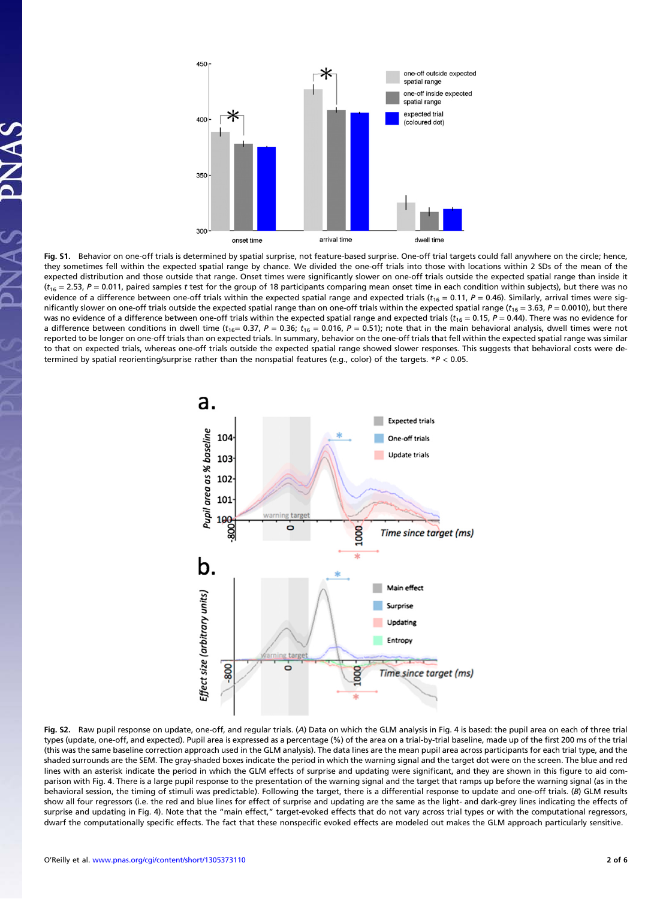

Fig. S1. Behavior on one-off trials is determined by spatial surprise, not feature-based surprise. One-off trial targets could fall anywhere on the circle; hence, they sometimes fell within the expected spatial range by chance. We divided the one-off trials into those with locations within 2 SDs of the mean of the expected distribution and those outside that range. Onset times were significantly slower on one-off trials outside the expected spatial range than inside it  $(t_{16} = 2.53$ , P = 0.011, paired samples t test for the group of 18 participants comparing mean onset time in each condition within subjects), but there was no evidence of a difference between one-off trials within the expected spatial range and expected trials ( $t_{16} = 0.11$ ,  $P = 0.46$ ). Similarly, arrival times were significantly slower on one-off trials outside the expected spatial range than on one-off trials within the expected spatial range ( $t_{16}$  = 3.63,  $P$  = 0.0010), but there was no evidence of a difference between one-off trials within the expected spatial range and expected trials ( $t_{16} = 0.15$ ,  $P = 0.44$ ). There was no evidence for a difference between conditions in dwell time ( $t_{16}= 0.37$ , P = 0.36;  $t_{16}= 0.016$ , P = 0.51); note that in the main behavioral analysis, dwell times were not reported to be longer on one-off trials than on expected trials. In summary, behavior on the one-off trials that fell within the expected spatial range was similar to that on expected trials, whereas one-off trials outside the expected spatial range showed slower responses. This suggests that behavioral costs were determined by spatial reorienting/surprise rather than the nonspatial features (e.g., color) of the targets.  $*P < 0.05$ .



Fig. S2. Raw pupil response on update, one-off, and regular trials. (A) Data on which the GLM analysis in Fig. 4 is based: the pupil area on each of three trial types (update, one-off, and expected). Pupil area is expressed as a percentage (%) of the area on a trial-by-trial baseline, made up of the first 200 ms of the trial (this was the same baseline correction approach used in the GLM analysis). The data lines are the mean pupil area across participants for each trial type, and the shaded surrounds are the SEM. The gray-shaded boxes indicate the period in which the warning signal and the target dot were on the screen. The blue and red lines with an asterisk indicate the period in which the GLM effects of surprise and updating were significant, and they are shown in this figure to aid comparison with Fig. 4. There is a large pupil response to the presentation of the warning signal and the target that ramps up before the warning signal (as in the behavioral session, the timing of stimuli was predictable). Following the target, there is a differential response to update and one-off trials. (B) GLM results show all four regressors (i.e. the red and blue lines for effect of surprise and updating are the same as the light- and dark-grey lines indicating the effects of surprise and updating in Fig. 4). Note that the "main effect," target-evoked effects that do not vary across trial types or with the computational regressors, dwarf the computationally specific effects. The fact that these nonspecific evoked effects are modeled out makes the GLM approach particularly sensitive.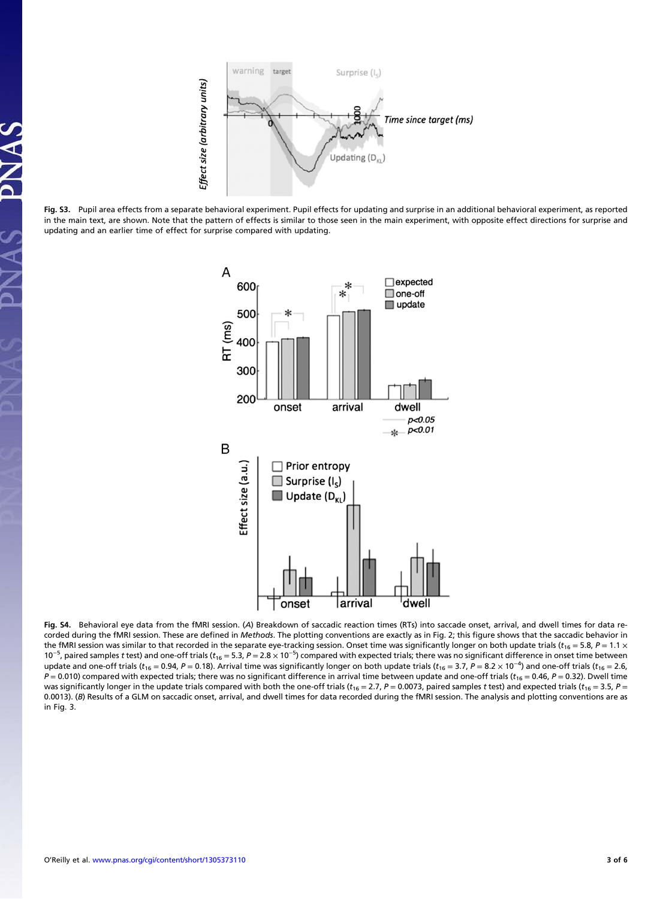

Fig. S3. Pupil area effects from a separate behavioral experiment. Pupil effects for updating and surprise in an additional behavioral experiment, as reported in the main text, are shown. Note that the pattern of effects is similar to those seen in the main experiment, with opposite effect directions for surprise and updating and an earlier time of effect for surprise compared with updating.



Fig. S4. Behavioral eye data from the fMRI session. (A) Breakdown of saccadic reaction times (RTs) into saccade onset, arrival, and dwell times for data recorded during the fMRI session. These are defined in Methods. The plotting conventions are exactly as in Fig. 2; this figure shows that the saccadic behavior in the fMRI session was similar to that recorded in the separate eye-tracking session. Onset time was significantly longer on both update trials ( $t_{16}$  = 5.8, P = 1.1 ×  $10^{-5}$ , paired samples t test) and one-off trials ( $t_{16} = 5.3$ ,  $P = 2.8 \times 10^{-5}$ ) compared with expected trials; there was no significant difference in onset time between update and one-off trials (t<sub>16</sub> = 0.94, P = 0.18). Arrival time was significantly longer on both update trials (t<sub>16</sub> = 3.7, P = 8.2 × 10<sup>-4</sup>) and one-off trials (t<sub>16</sub> = 2.6,  $P = 0.010$ ) compared with expected trials; there was no significant difference in arrival time between update and one-off trials ( $t_{16} = 0.46$ ,  $P = 0.32$ ). Dwell time was significantly longer in the update trials compared with both the one-off trials ( $t_{16} = 2.7$ ,  $P = 0.0073$ , paired samples t test) and expected trials ( $t_{16} = 3.5$ ,  $P = 0.0073$ , paired samples t test) and expected tr 0.0013). (B) Results of a GLM on saccadic onset, arrival, and dwell times for data recorded during the fMRI session. The analysis and plotting conventions are as in Fig. 3.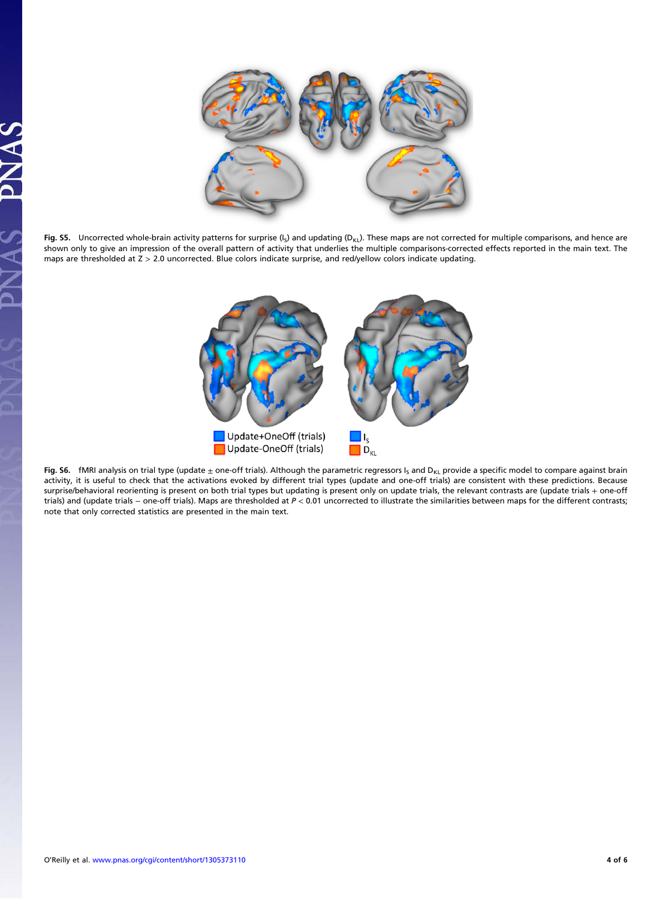

Fig. S5. Uncorrected whole-brain activity patterns for surprise  $(I_S)$  and updating  $(D_{KL})$ . These maps are not corrected for multiple comparisons, and hence are shown only to give an impression of the overall pattern of activity that underlies the multiple comparisons-corrected effects reported in the main text. The maps are thresholded at Z > 2.0 uncorrected. Blue colors indicate surprise, and red/yellow colors indicate updating.



Fig. S6. fMRI analysis on trial type (update  $\pm$  one-off trials). Although the parametric regressors I<sub>s</sub> and D<sub>KL</sub> provide a specific model to compare against brain activity, it is useful to check that the activations evoked by different trial types (update and one-off trials) are consistent with these predictions. Because surprise/behavioral reorienting is present on both trial types but updating is present only on update trials, the relevant contrasts are (update trials + one-off trials) and (update trials − one-off trials). Maps are thresholded at P < 0.01 uncorrected to illustrate the similarities between maps for the different contrasts; note that only corrected statistics are presented in the main text.

DN AC

 $\frac{a}{\lambda}$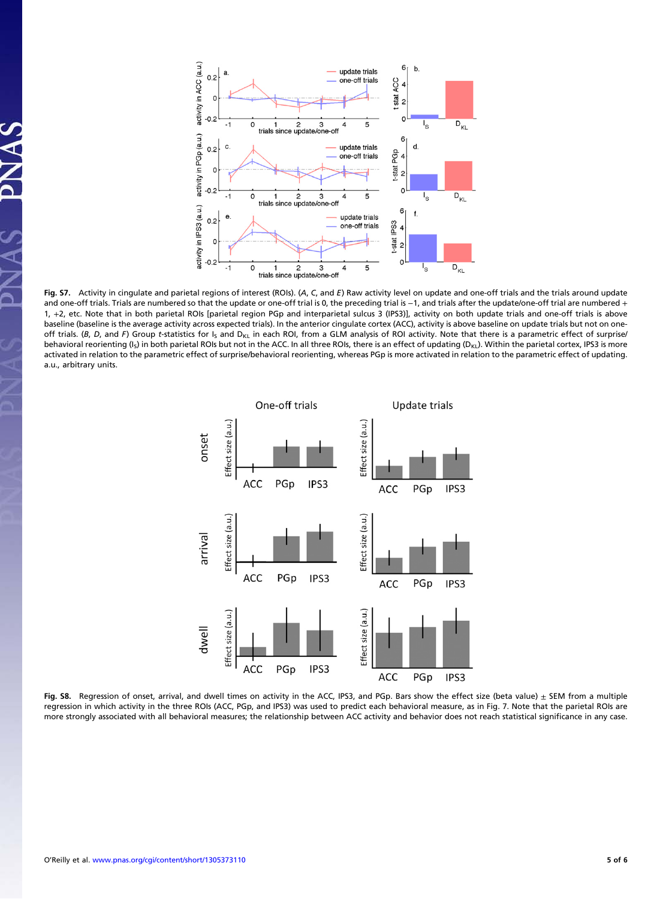

Fig. S7. Activity in cingulate and parietal regions of interest (ROIs). (A, C, and E) Raw activity level on update and one-off trials and the trials around update and one-off trials. Trials are numbered so that the update or one-off trial is 0, the preceding trial is -1, and trials after the update/one-off trial are numbered + 1, +2, etc. Note that in both parietal ROIs [parietal region PGp and interparietal sulcus 3 (IPS3)], activity on both update trials and one-off trials is above baseline (baseline is the average activity across expected trials). In the anterior cingulate cortex (ACC), activity is above baseline on update trials but not on oneoff trials. (B, D, and F) Group t-statistics for  $I_5$  and  $D_{KL}$  in each ROI, from a GLM analysis of ROI activity. Note that there is a parametric effect of surprise/ behavioral reorienting (I<sub>S</sub>) in both parietal ROIs but not in the ACC. In all three ROIs, there is an effect of updating (D<sub>KL</sub>). Within the parietal cortex, IPS3 is more activated in relation to the parametric effect of surprise/behavioral reorienting, whereas PGp is more activated in relation to the parametric effect of updating. a.u., arbitrary units.



Fig. S8. Regression of onset, arrival, and dwell times on activity in the ACC, IPS3, and PGp. Bars show the effect size (beta value) ± SEM from a multiple regression in which activity in the three ROIs (ACC, PGp, and IPS3) was used to predict each behavioral measure, as in Fig. 7. Note that the parietal ROIs are more strongly associated with all behavioral measures; the relationship between ACC activity and behavior does not reach statistical significance in any case.